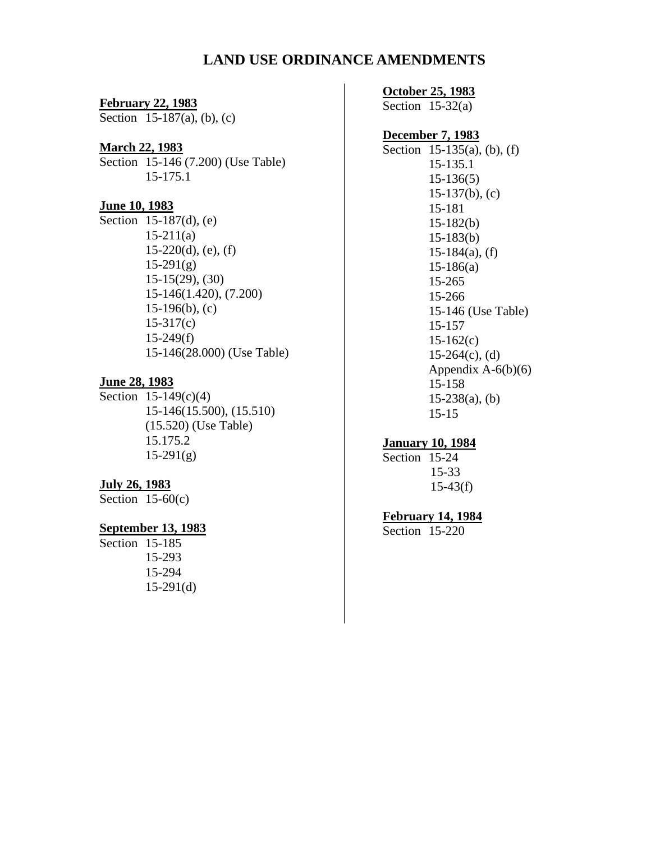#### **LAND USE ORDINANCE AMENDMENTS**

#### **February 22, 1983**

Section  $15-187(a)$ , (b), (c)

#### **March 22, 1983**

Section 15-146 (7.200) (Use Table) 15-175.1

#### **June 10, 1983**

Section 15-187(d), (e)  $15-211(a)$  $15-220(d)$ , (e), (f)  $15-291(g)$ 15-15(29), (30) 15-146(1.420), (7.200) 15-196(b), (c) 15-317(c) 15-249(f) 15-146(28.000) (Use Table)

#### **June 28, 1983**

Section 15-149(c)(4) 15-146(15.500), (15.510) (15.520) (Use Table) 15.175.2 15-291(g)

#### **July 26, 1983**

Section  $15-60(c)$ 

#### **September 13, 1983**

Section 15-185 15-293 15-294 15-291(d)

#### **October 25, 1983**

Section  $15-32(a)$ 

#### **December 7, 1983**

Section 15-135(a), (b), (f) 15-135.1 15-136(5) 15-137(b), (c) 15-181 15-182(b) 15-183(b)  $15-184(a)$ , (f) 15-186(a) 15-265 15-266 15-146 (Use Table) 15-157 15-162(c)  $15-264(c)$ , (d) Appendix  $A-6(b)(6)$ 15-158  $15-238(a)$ , (b) 15-15

#### **January 10, 1984**

Section 15-24 15-33  $15-43(f)$ 

#### **February 14, 1984**

Section 15-220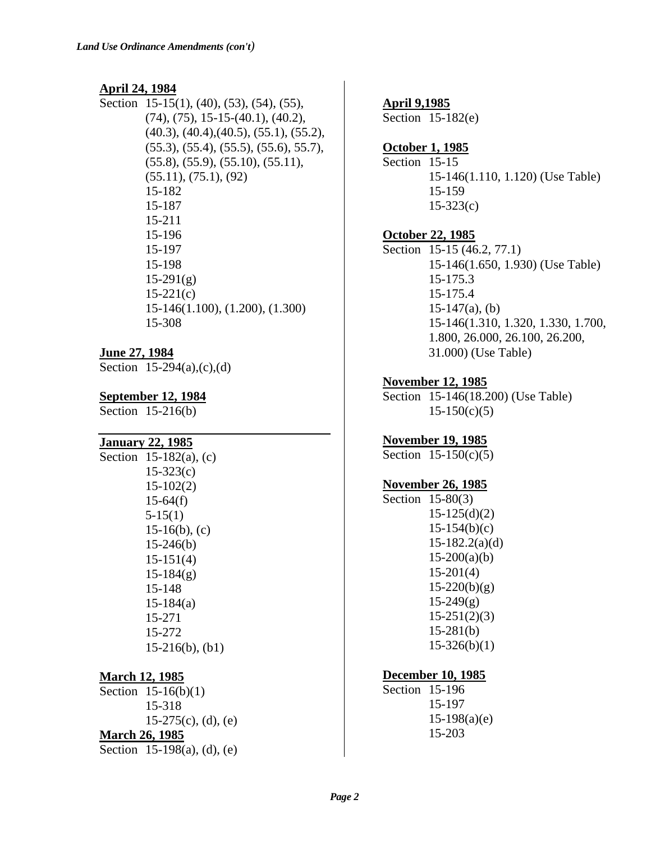#### **April 24, 1984**

Section 15-15(1), (40), (53), (54), (55), (74), (75), 15-15-(40.1), (40.2), (40.3), (40.4),(40.5), (55.1), (55.2), (55.3), (55.4), (55.5), (55.6), 55.7), (55.8), (55.9), (55.10), (55.11), (55.11), (75.1), (92) 15-182 15-187 15-211 15-196 15-197 15-198  $15-291(g)$  $15-221(c)$ 15-146(1.100), (1.200), (1.300) 15-308

#### **June 27, 1984**

Section  $15-294(a),(c),(d)$ 

#### **September 12, 1984**

Section 15-216(b)

#### **January 22, 1985**

| Section 15-182(a), (c) |
|------------------------|
| $15 - 323(c)$          |
| $15-102(2)$            |
| $15-64(f)$             |
| $5-15(1)$              |
| $15-16(b)$ , (c)       |
| $15-246(b)$            |
| $15-151(4)$            |
| $15-184(g)$            |
| 15-148                 |
| $15-184(a)$            |
| 15-271                 |
| 15-272                 |
| $15-216(b)$ , $(b1)$   |
|                        |

#### **March 12, 1985**

Section 15-16(b)(1) 15-318  $15-275(c)$ , (d), (e) **March 26, 1985** Section 15-198(a), (d), (e)

#### **April 9,1985**

Section 15-182(e)

#### **October 1, 1985**

Section 15-15 15-146(1.110, 1.120) (Use Table) 15-159 15-323(c)

#### **October 22, 1985**

Section 15-15 (46.2, 77.1) 15-146(1.650, 1.930) (Use Table) 15-175.3 15-175.4 15-147(a), (b) 15-146(1.310, 1.320, 1.330, 1.700, 1.800, 26.000, 26.100, 26.200, 31.000) (Use Table)

#### **November 12, 1985**

Section 15-146(18.200) (Use Table)  $15-150(c)(5)$ 

#### **November 19, 1985**

Section 15-150(c)(5)

#### **November 26, 1985**

Section 15-80(3) 15-125(d)(2)  $15-154(b)(c)$ 15-182.2(a)(d)  $15-200(a)(b)$ 15-201(4)  $15-220(b)(g)$  $15-249(g)$ 15-251(2)(3) 15-281(b)  $15-326(b)(1)$ 

#### **December 10, 1985**

Section 15-196 15-197  $15-198(a)(e)$ 15-203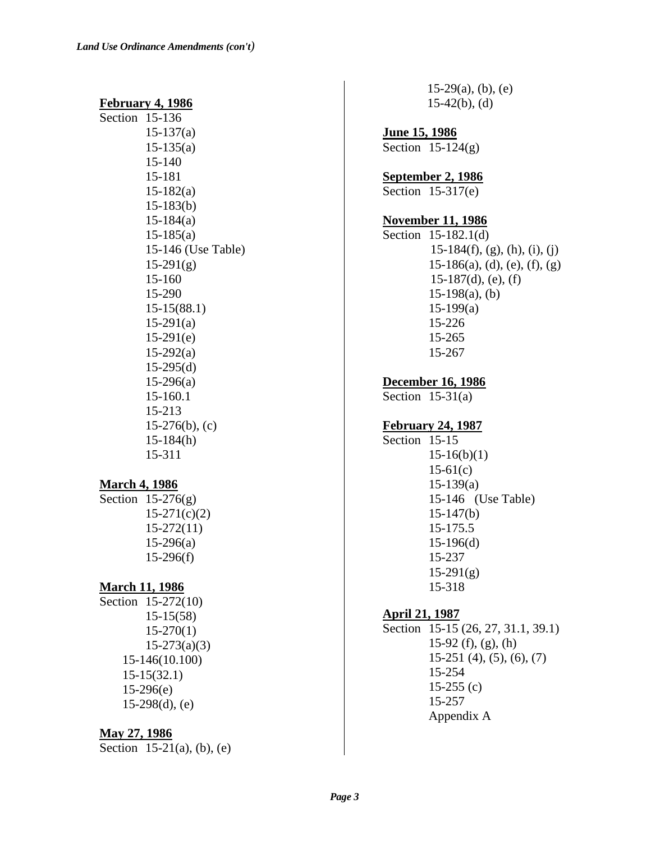#### **February 4, 1986**

| Section 15-136 |                    |
|----------------|--------------------|
|                | $15-137(a)$        |
|                | $15-135(a)$        |
|                | 15-140             |
|                | 15-181             |
|                | $15-182(a)$        |
|                | $15-183(b)$        |
|                | $15-184(a)$        |
|                | $15-185(a)$        |
|                | 15-146 (Use Table) |
|                | $15-291(g)$        |
|                | 15-160             |
|                | 15-290             |
|                | $15-15(88.1)$      |
|                | $15-291(a)$        |
|                | $15-291(e)$        |
|                | $15-292(a)$        |
|                | $15-295(d)$        |
|                | $15-296(a)$        |
|                | 15-160.1           |
|                | 15-213             |
|                | $15-276(b)$ , (c)  |
|                | $15-184(h)$        |
|                | 15-311             |
|                |                    |

#### **March 4, 1986**

Section  $15-276(g)$  $15-271(c)(2)$ 15-272(11) 15-296(a) 15-296(f)

#### **March 11, 1986**

Section 15-272(10) 15-15(58) 15-270(1) 15-273(a)(3) 15-146(10.100) 15-15(32.1) 15-296(e)  $15-298(d)$ , (e)

#### **May 27, 1986**

Section 15-21(a), (b), (e)

 $15-29(a)$ , (b), (e)  $15-42(b)$ , (d)

**June 15, 1986** Section  $15-124(g)$ 

**September 2, 1986**

Section 15-317(e)

#### **November 11, 1986**

Section 15-182.1(d)  $15-184(f)$ , (g), (h), (i), (j)  $15-186(a)$ , (d), (e), (f), (g) 15-187(d), (e), (f)  $15-198(a)$ , (b) 15-199(a) 15-226 15-265 15-267

**December 16, 1986**

Section  $15-31(a)$ 

#### **February 24, 1987**

Section 15-15  $15-16(b)(1)$ 15-61(c) 15-139(a) 15-146 (Use Table) 15-147(b) 15-175.5 15-196(d) 15-237  $15-291(g)$ 15-318

#### **April 21, 1987**

Section 15-15 (26, 27, 31.1, 39.1) 15-92 (f), (g), (h) 15-251 (4), (5), (6), (7) 15-254  $15-255$  (c) 15-257 Appendix A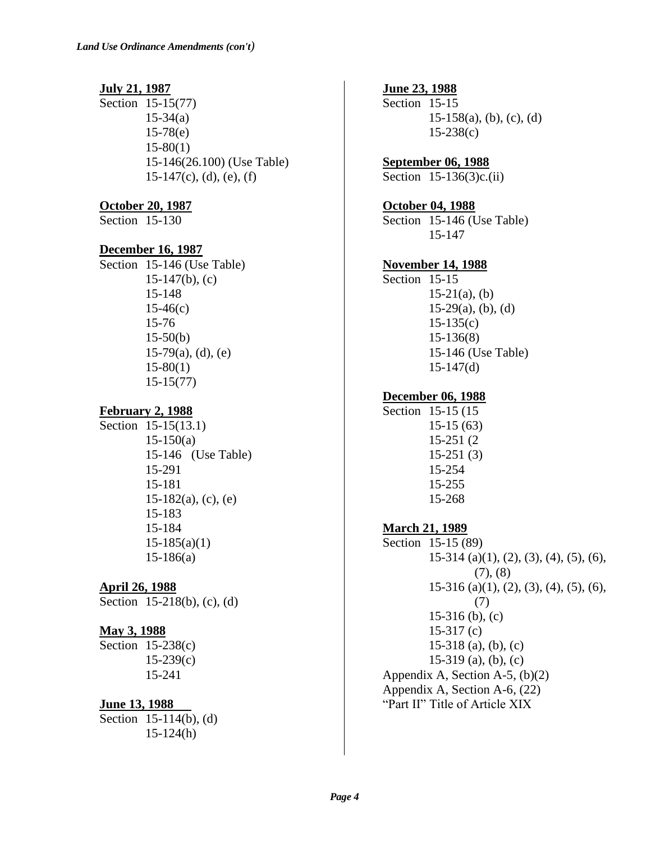#### **July 21, 1987**

Section 15-15(77) 15-34(a) 15-78(e) 15-80(1) 15-146(26.100) (Use Table)  $15-147(c)$ , (d), (e), (f)

#### **October 20, 1987**

Section 15-130

#### **December 16, 1987**

Section 15-146 (Use Table) 15-147(b), (c) 15-148  $15-46(c)$ 15-76 15-50(b)  $15-79(a)$ , (d), (e) 15-80(1) 15-15(77)

### **February 2, 1988**

Section 15-15(13.1)  $15-150(a)$ 15-146 (Use Table) 15-291 15-181  $15-182(a)$ , (c), (e) 15-183 15-184  $15-185(a)(1)$ 15-186(a)

#### **April 26, 1988**

Section 15-218(b), (c), (d)

#### **May 3, 1988**

Section 15-238(c) 15-239(c) 15-241

### **June 13, 1988**

Section 15-114(b), (d) 15-124(h)

# **June 23, 1988**

Section 15-15  $15-158(a)$ , (b), (c), (d) 15-238(c)

### **September 06, 1988**

Section 15-136(3)c.(ii)

#### **October 04, 1988**

Section 15-146 (Use Table) 15-147

#### **November 14, 1988**

Section 15-15  $15-21(a)$ , (b)  $15-29(a)$ , (b), (d) 15-135(c) 15-136(8) 15-146 (Use Table) 15-147(d)

### **December 06, 1988**

#### Section 15-15 (15 15-15 (63) 15-251 (2 15-251 (3) 15-254 15-255 15-268

#### **March 21, 1989**

Section 15-15 (89) 15-314 (a)(1), (2), (3), (4), (5), (6),  $(7), (8)$ 15-316 (a)(1), (2), (3), (4), (5), (6), (7) 15-316 (b), (c) 15-317 (c) 15-318 (a), (b), (c) 15-319 (a), (b), (c) Appendix A, Section A-5, (b)(2) Appendix A, Section A-6, (22) "Part II" Title of Article XIX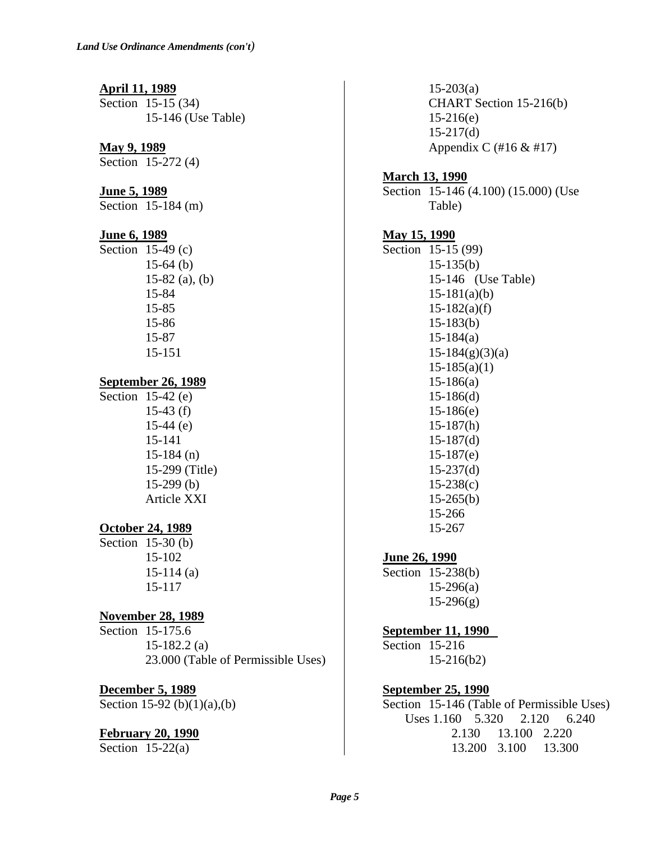#### **April 11, 1989**

Section 15-15 (34) 15-146 (Use Table)

#### **May 9, 1989**

Section 15-272 (4)

#### **June 5, 1989**

Section 15-184 (m)

#### **June 6, 1989**

Section 15-49 (c) 15-64 (b) 15-82 (a), (b) 15-84 15-85 15-86 15-87 15-151

#### **September 26, 1989**

Section 15-42 (e) 15-43 (f) 15-44 (e) 15-141 15-184 (n) 15-299 (Title) 15-299 (b) Article XXI

### **October 24, 1989**

Section 15-30 (b) 15-102 15-114 (a) 15-117

### **November 28, 1989**

Section 15-175.6 15-182.2 (a) 23.000 (Table of Permissible Uses)

#### **December 5, 1989**

Section 15-92 (b)(1)(a),(b)

#### **February 20, 1990**

Section  $15-22(a)$ 

 $15-203(a)$ CHART Section 15-216(b) 15-216(e)  $15-217(d)$ Appendix C (#16 & #17)

#### **March 13, 1990**

Section 15-146 (4.100) (15.000) (Use Table)

#### **May 15, 1990**

Section 15-15 (99) 15-135(b) 15-146 (Use Table)  $15-181(a)(b)$  $15-182(a)(f)$ 15-183(b) 15-184(a) 15-184(g)(3)(a)  $15-185(a)(1)$ 15-186(a) 15-186(d) 15-186(e) 15-187(h) 15-187(d) 15-187(e) 15-237(d) 15-238(c)  $15-265(b)$ 15-266 15-267

### **June 26, 1990**

Section 15-238(b) 15-296(a)  $15-296(g)$ 

### **September 11, 1990**

Section 15-216 15-216(b2)

### **September 25, 1990**

Section 15-146 (Table of Permissible Uses) Uses 1.160 5.320 2.120 6.240 2.130 13.100 2.220 13.200 3.100 13.300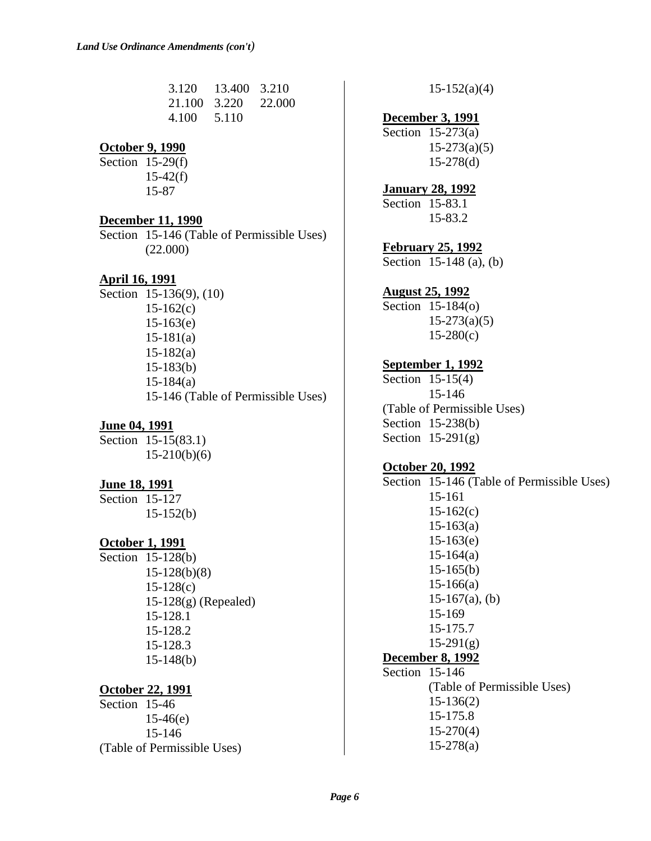| 3.120        | 13.400 3.210 |        |
|--------------|--------------|--------|
| 21.100 3.220 |              | 22.000 |
| 4.100        | 5.110        |        |

### **October 9, 1990**

Section 15-29(f) 15-42(f) 15-87

#### **December 11, 1990**

Section 15-146 (Table of Permissible Uses) (22.000)

### **April 16, 1991**

Section 15-136(9), (10)  $15-162(c)$ 15-163(e) 15-181(a) 15-182(a) 15-183(b) 15-184(a) 15-146 (Table of Permissible Uses)

### **June 04, 1991**

Section 15-15(83.1) 15-210(b)(6)

#### **June 18, 1991**

Section 15-127 15-152(b)

### **October 1, 1991**

Section 15-128(b) 15-128(b)(8) 15-128(c) 15-128(g) (Repealed) 15-128.1 15-128.2 15-128.3 15-148(b)

#### **October 22, 1991**

Section 15-46 15-46(e) 15-146 (Table of Permissible Uses)  $15-152(a)(4)$ 

### **December 3, 1991**

Section 15-273(a)  $15-273(a)(5)$ 15-278(d)

**January 28, 1992** Section 15-83.1

15-83.2

### **February 25, 1992**

Section 15-148 (a), (b)

### **August 25, 1992**

Section 15-184(o) 15-273(a)(5) 15-280(c)

### **September 1, 1992**

Section 15-15(4) 15-146 (Table of Permissible Uses) Section 15-238(b) Section 15-291(g)

### **October 20, 1992**

Section 15-146 (Table of Permissible Uses) 15-161  $15-162(c)$ 15-163(a) 15-163(e) 15-164(a) 15-165(b) 15-166(a)  $15-167(a)$ , (b) 15-169 15-175.7  $15-291(g)$ **December 8, 1992** Section 15-146 (Table of Permissible Uses) 15-136(2) 15-175.8 15-270(4) 15-278(a)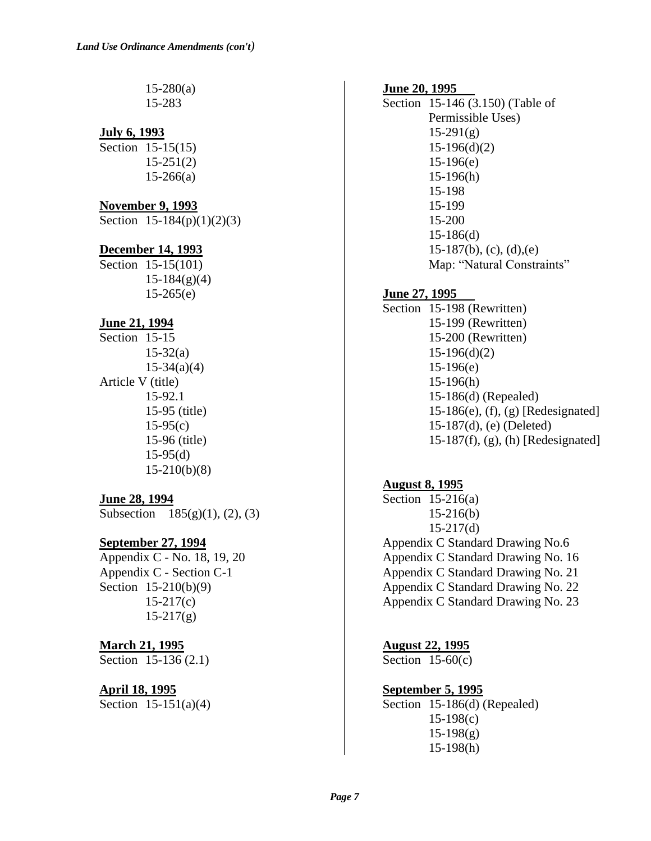$15-280(a)$ 15-283

#### **July 6, 1993**

Section 15-15(15) 15-251(2)  $15-266(a)$ 

#### **November 9, 1993**

Section  $15-184(p)(1)(2)(3)$ 

#### **December 14, 1993**

Section 15-15(101)  $15-184(g)(4)$  $15-265(e)$ 

#### **June 21, 1994**

Section 15-15  $15 - 32(a)$  $15-34(a)(4)$ Article V (title) 15-92.1 15-95 (title)  $15-95(c)$ 15-96 (title) 15-95(d) 15-210(b)(8)

#### **June 28, 1994**

Subsection  $185(g)(1)$ , (2), (3)

**September 27, 1994** Appendix C - No. 18, 19, 20 Appendix C - Section C-1 Section 15-210(b)(9)  $15-217(c)$  $15-217(g)$ 

# **March 21, 1995**

Section 15-136 (2.1)

#### **April 18, 1995**

Section 15-151(a)(4)

#### **June 20, 1995**

Section 15-146 (3.150) (Table of Permissible Uses)  $15-291(g)$ 15-196(d)(2) 15-196(e) 15-196(h) 15-198 15-199 15-200 15-186(d)  $15-187(b)$ , (c), (d), (e) Map: "Natural Constraints"

#### **June 27, 1995**

Section 15-198 (Rewritten) 15-199 (Rewritten) 15-200 (Rewritten) 15-196(d)(2) 15-196(e) 15-196(h) 15-186(d) (Repealed) 15-186(e), (f), (g) [Redesignated] 15-187(d), (e) (Deleted) 15-187(f), (g), (h) [Redesignated]

#### **August 8, 1995**

Section 15-216(a) 15-216(b) 15-217(d) Appendix C Standard Drawing No.6 Appendix C Standard Drawing No. 16 Appendix C Standard Drawing No. 21 Appendix C Standard Drawing No. 22 Appendix C Standard Drawing No. 23

**August 22, 1995** Section  $15-60(c)$ 

# **September 5, 1995**

Section 15-186(d) (Repealed) 15-198(c)  $15-198(g)$ 15-198(h)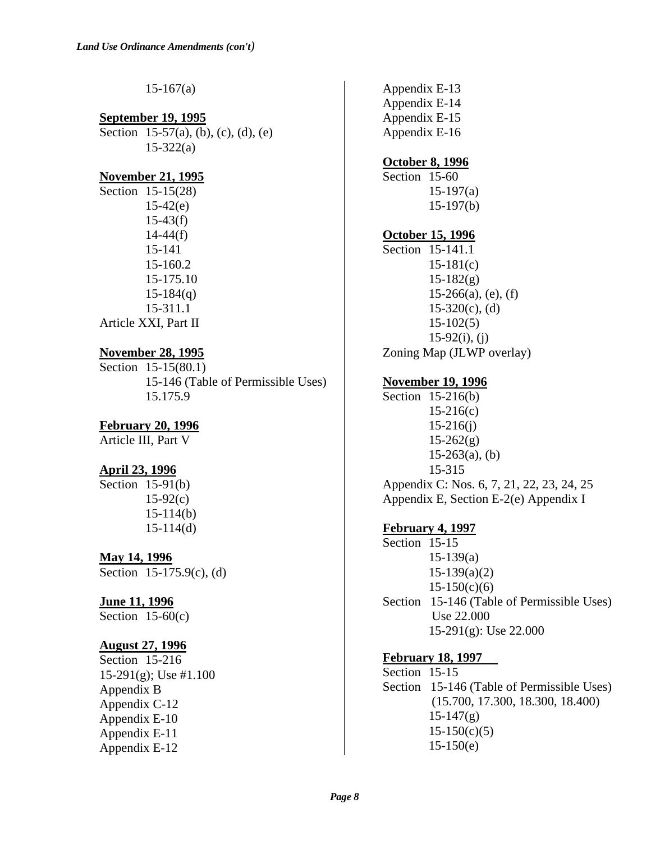$15-167(a)$ 

#### **September 19, 1995** Section 15-57(a), (b), (c), (d), (e)  $15 - 322(a)$

### **November 21, 1995**

Section 15-15(28)  $15-42(e)$  $15-43(f)$  $14 - 44(f)$ 15-141 15-160.2 15-175.10  $15-184(q)$ 15-311.1 Article XXI, Part II

### **November 28, 1995**

Section 15-15(80.1) 15-146 (Table of Permissible Uses) 15.175.9

### **February 20, 1996**

Article III, Part V

### **April 23, 1996**

Section  $15-91(b)$  $15-92(c)$ 15-114(b) 15-114(d)

### **May 14, 1996**

Section 15-175.9(c), (d)

#### **June 11, 1996**

Section  $15-60(c)$ 

#### **August 27, 1996**

Section 15-216 15-291(g); Use #1.100 Appendix B Appendix C-12 Appendix E-10 Appendix E-11 Appendix E-12

Appendix E-13 Appendix E-14 Appendix E-15 Appendix E-16

#### **October 8, 1996**

Section 15-60 15-197(a) 15-197(b)

#### **October 15, 1996**

Section 15-141.1  $15-181(c)$  $15-182(g)$  $15-266(a)$ , (e), (f)  $15-320(c)$ , (d) 15-102(5)  $15-92(i)$ , (j) Zoning Map (JLWP overlay)

### **November 19, 1996**

Section 15-216(b) 15-216(c) 15-216(j)  $15-262(g)$  $15-263(a)$ , (b) 15-315 Appendix C: Nos. 6, 7, 21, 22, 23, 24, 25 Appendix E, Section E-2(e) Appendix I

#### **February 4, 1997**

Section 15-15  $15-139(a)$ 15-139(a)(2)  $15-150(c)(6)$ Section 15-146 (Table of Permissible Uses) Use 22.000 15-291(g): Use 22.000

### **February 18, 1997**

Section 15-15 Section 15-146 (Table of Permissible Uses) (15.700, 17.300, 18.300, 18.400)  $15-147(g)$  $15-150(c)(5)$  $15-150(e)$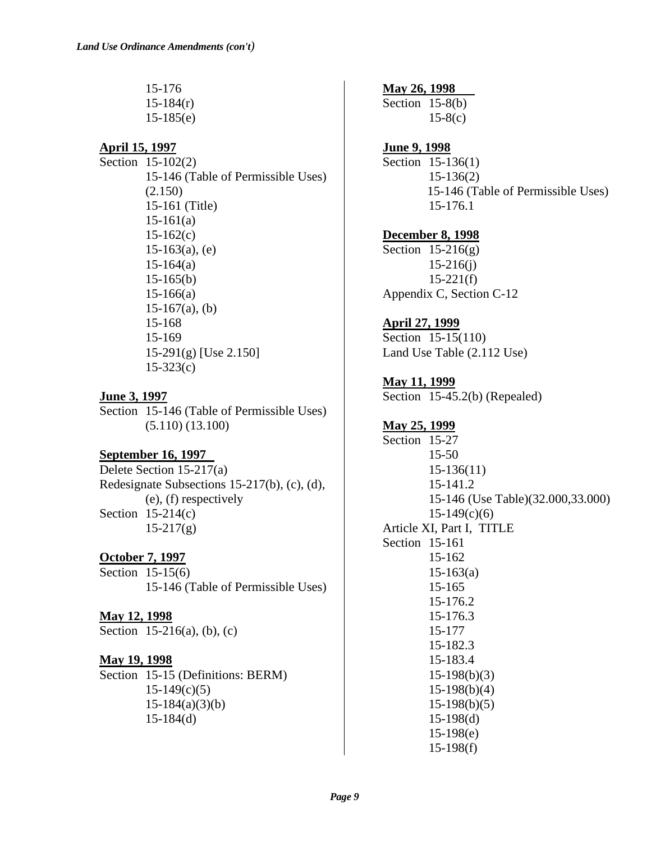15-176  $15-184(r)$ 15-185(e)

# **April 15, 1997**

Section 15-102(2) 15-146 (Table of Permissible Uses) (2.150) 15-161 (Title)  $15-161(a)$  $15-162(c)$  $15-163(a)$ , (e)  $15-164(a)$ 15-165(b) 15-166(a)  $15-167(a)$ , (b) 15-168 15-169 15-291(g) [Use 2.150] 15-323(c)

### **June 3, 1997**

Section 15-146 (Table of Permissible Uses) (5.110) (13.100)

### **September 16, 1997**

Delete Section 15-217(a) Redesignate Subsections 15-217(b), (c), (d), (e), (f) respectively Section  $15-214(c)$  $15-217(g)$ 

**October 7, 1997** Section 15-15(6) 15-146 (Table of Permissible Uses)

# **May 12, 1998**

Section 15-216(a), (b), (c)

### **May 19, 1998**

Section 15-15 (Definitions: BERM)  $15-149(c)(5)$ 15-184(a)(3)(b) 15-184(d)

**May 26, 1998** Section 15-8(b)  $15-8(c)$ 

### **June 9, 1998**

Section 15-136(1) 15-136(2) 15-146 (Table of Permissible Uses) 15-176.1

### **December 8, 1998**

Section  $15-216(g)$ 15-216(j)  $15-221(f)$ Appendix C, Section C-12

# **April 27, 1999**

Section 15-15(110) Land Use Table (2.112 Use)

### **May 11, 1999**

Section 15-45.2(b) (Repealed)

# **May 25, 1999**

Section 15-27 15-50 15-136(11) 15-141.2 15-146 (Use Table)(32.000,33.000)  $15-149(c)(6)$ Article XI, Part I, TITLE Section 15-161 15-162 15-163(a) 15-165 15-176.2 15-176.3 15-177 15-182.3 15-183.4 15-198(b)(3) 15-198(b)(4) 15-198(b)(5) 15-198(d) 15-198(e) 15-198(f)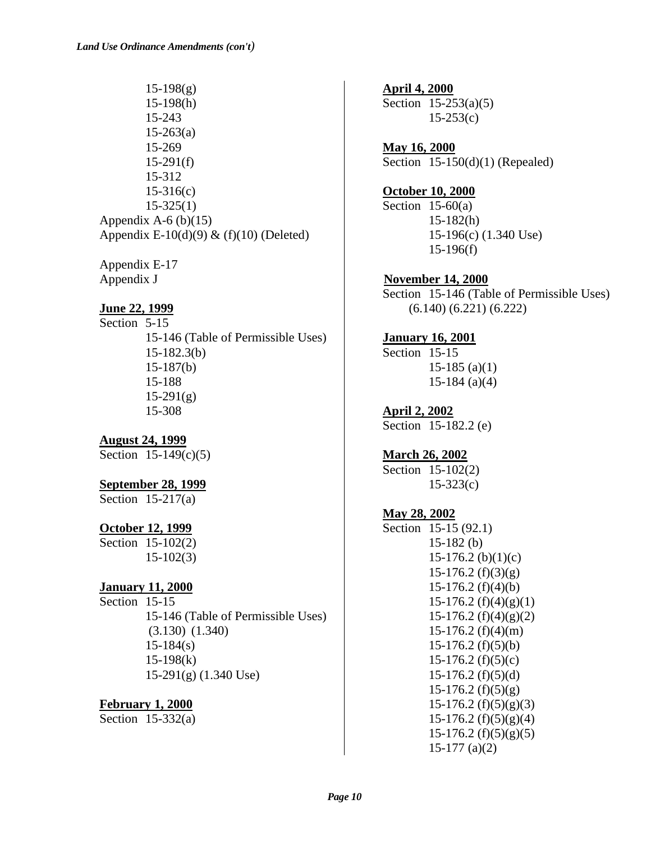$15-198(g)$ 15-198(h) 15-243  $15 - 263(a)$ 15-269  $15-291(f)$ 15-312 15-316(c) 15-325(1) Appendix A-6  $(b)(15)$ Appendix E-10(d)(9)  $\&$  (f)(10) (Deleted)

Appendix E-17 Appendix J

### **June 22, 1999**

Section 5-15 15-146 (Table of Permissible Uses) 15-182.3(b) 15-187(b) 15-188  $15-291(g)$ 15-308

**August 24, 1999** Section 15-149(c)(5)

#### **September 28, 1999**

Section  $15-217(a)$ 

#### **October 12, 1999**

Section 15-102(2) 15-102(3)

### **January 11, 2000**

Section 15-15 15-146 (Table of Permissible Uses) (3.130) (1.340)  $15 - 184(s)$ 15-198(k) 15-291(g) (1.340 Use)

### **February 1, 2000**

Section 15-332(a)

**April 4, 2000** Section 15-253(a)(5)  $15-253(c)$ 

**May 16, 2000** Section 15-150(d)(1) (Repealed)

#### **October 10, 2000**

Section  $15-60(a)$  $15-182(h)$ 15-196(c) (1.340 Use) 15-196(f)

#### **November 14, 2000**

Section 15-146 (Table of Permissible Uses) (6.140) (6.221) (6.222)

### **January 16, 2001**

Section 15-15 15-185 (a)(1) 15-184 (a)(4)

**April 2, 2002** Section 15-182.2 (e)

**March 26, 2002**

Section 15-102(2) 15-323(c)

### **May 28, 2002**

Section 15-15 (92.1) 15-182 (b)  $15-176.2$  (b) $(1)(c)$  $15-176.2$  (f)(3)(g) 15-176.2 (f)(4)(b)  $15-176.2$  (f)(4)(g)(1) 15-176.2 (f)(4)(g)(2) 15-176.2 (f)(4)(m)  $15-176.2$  (f)(5)(b)  $15-176.2$  (f)(5)(c)  $15-176.2$  (f)(5)(d)  $15-176.2$  (f)(5)(g)  $15-176.2$  (f)(5)(g)(3)  $15-176.2$  (f)(5)(g)(4) 15-176.2 (f)(5)(g)(5) 15-177 (a)(2)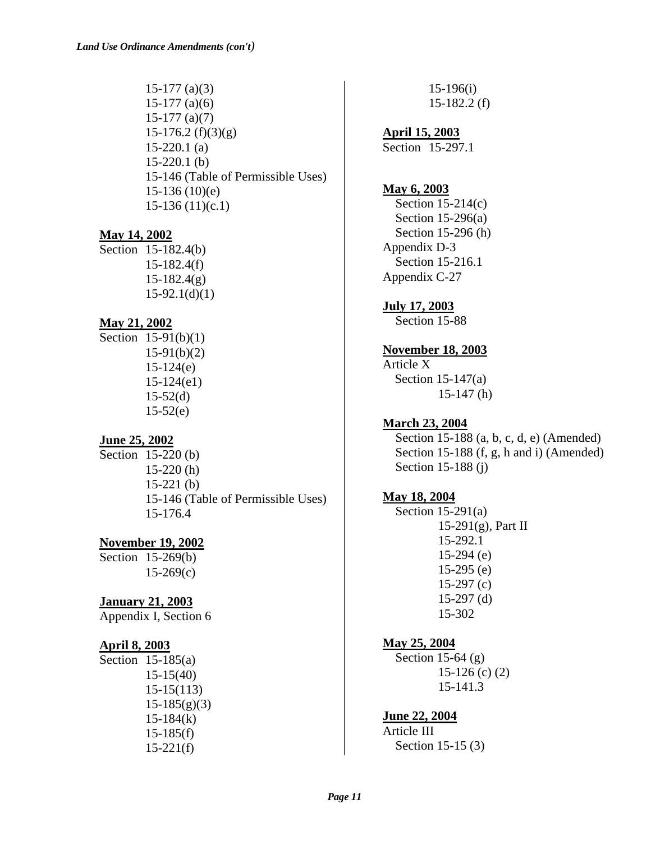15-177 (a)(3) 15-177 (a)(6) 15-177 (a)(7)  $15-176.2$  (f)(3)(g) 15-220.1 (a) 15-220.1 (b) 15-146 (Table of Permissible Uses) 15-136 (10)(e) 15-136 (11)(c.1)

#### **May 14, 2002**

Section 15-182.4(b) 15-182.4(f)  $15-182.4(g)$  $15-92.1(d)(1)$ 

#### **May 21, 2002**

Section 15-91(b)(1) 15-91(b)(2) 15-124(e) 15-124(e1)  $15-52(d)$  $15-52(e)$ 

#### **June 25, 2002**

Section 15-220 (b) 15-220 (h) 15-221 (b) 15-146 (Table of Permissible Uses) 15-176.4

#### **November 19, 2002**

Section 15-269(b) 15-269(c)

#### **January 21, 2003**

Appendix I, Section 6

#### **April 8, 2003**

Section 15-185(a) 15-15(40) 15-15(113)  $15-185(g)(3)$  $15-184(k)$  $15-185(f)$  $15-221(f)$ 

15-196(i) 15-182.2 (f)

**April 15, 2003** Section 15-297.1

#### **May 6, 2003**

Section  $15-214(c)$  Section 15-296(a) Section 15-296 (h) Appendix D-3 Section 15-216.1 Appendix C-27

#### **July 17, 2003**

Section 15-88

# **November 18, 2003**

Article X Section 15-147(a) 15-147 (h)

#### **March 23, 2004**

 Section 15-188 (a, b, c, d, e) (Amended) Section 15-188 (f, g, h and i) (Amended) Section 15-188 (j)

#### **May 18, 2004**

 Section 15-291(a) 15-291(g), Part II 15-292.1 15-294 (e) 15-295 (e) 15-297 (c) 15-297 (d) 15-302

#### **May 25, 2004**

Section 15-64  $(g)$  15-126 (c) (2) 15-141.3

**June 22, 2004** Article III Section 15-15 (3)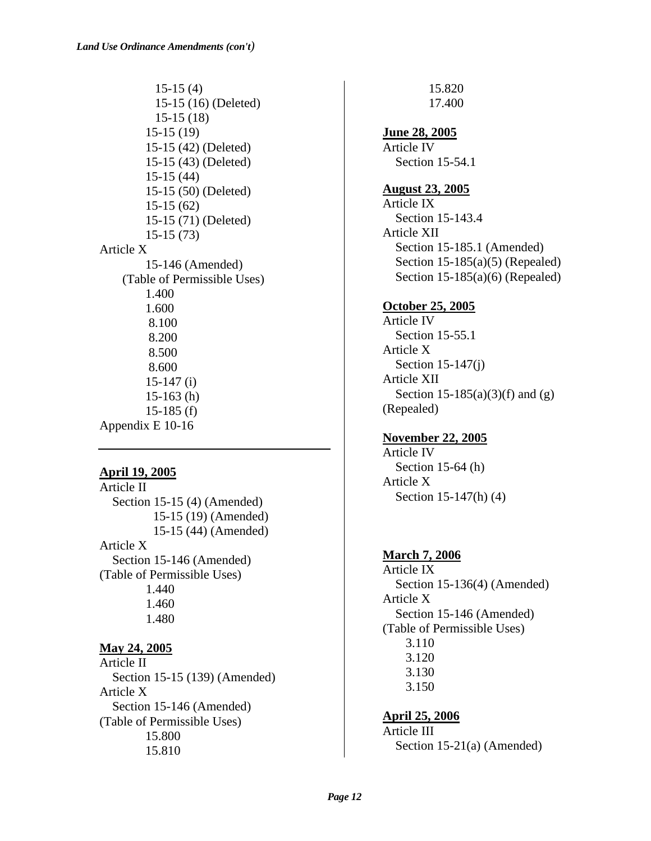15-15 (4) 15-15 (16) (Deleted) 15-15 (18) 15-15 (19) 15-15 (42) (Deleted) 15-15 (43) (Deleted) 15-15 (44) 15-15 (50) (Deleted) 15-15 (62) 15-15 (71) (Deleted) 15-15 (73) Article X 15-146 (Amended) (Table of Permissible Uses) 1.400 1.600 8.100 8.200 8.500 8.600 15-147 (i) 15-163 (h) 15-185 (f) Appendix E 10-16

### **April 19, 2005**

Article II Section 15-15 (4) (Amended) 15-15 (19) (Amended) 15-15 (44) (Amended) Article X Section 15-146 (Amended) (Table of Permissible Uses) 1.440 1.460 1.480

### **May 24, 2005**

Article II Section 15-15 (139) (Amended) Article X Section 15-146 (Amended) (Table of Permissible Uses) 15.800 15.810

17.400 **June 28, 2005** Article IV Section 15-54.1 **August 23, 2005** Article IX Section 15-143.4

15.820

Article XII Section 15-185.1 (Amended) Section  $15-185(a)(5)$  (Repealed) Section 15-185(a)(6) (Repealed)

#### **October 25, 2005**

Article IV Section 15-55.1 Article X Section 15-147(j) Article XII Section 15-185(a)(3)(f) and (g) (Repealed)

### **November 22, 2005**

Article IV Section 15-64 (h) Article X Section 15-147(h) (4)

#### **March 7, 2006**

Article IX Section 15-136(4) (Amended) Article X Section 15-146 (Amended) (Table of Permissible Uses) 3.110 3.120 3.130 3.150

#### **April 25, 2006**

Article III Section 15-21(a) (Amended)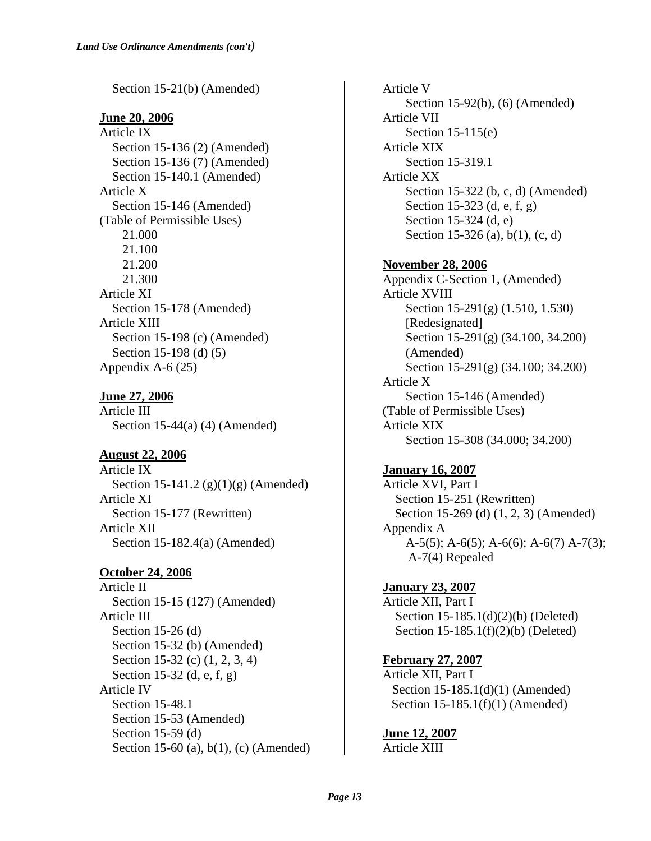Section 15-21(b) (Amended)

**June 20, 2006**

Article IX Section 15-136 (2) (Amended) Section 15-136 (7) (Amended) Section 15-140.1 (Amended) Article X Section 15-146 (Amended) (Table of Permissible Uses) 21.000 21.100 21.200 21.300 Article XI Section 15-178 (Amended) Article XIII Section 15-198 (c) (Amended) Section 15-198 (d) (5) Appendix A-6 (25)

**June 27, 2006** Article III Section 15-44(a) (4) (Amended)

**August 22, 2006**

Article IX Section 15-141.2  $(g)(1)(g)$  (Amended) Article XI Section 15-177 (Rewritten) Article XII Section 15-182.4(a) (Amended)

**October 24, 2006**

Article II Section 15-15 (127) (Amended) Article III Section 15-26 (d) Section 15-32 (b) (Amended) Section 15-32 (c) (1, 2, 3, 4) Section 15-32 (d, e, f, g) Article IV Section 15-48.1 Section 15-53 (Amended) Section 15-59 (d) Section 15-60 (a), b(1), (c) (Amended) Article V Section 15-92(b), (6) (Amended) Article VII Section 15-115(e) Article XIX Section 15-319.1 Article XX Section 15-322 (b, c, d) (Amended) Section 15-323 (d, e, f, g) Section 15-324 (d, e) Section 15-326 (a), b(1), (c, d)

**November 28, 2006** Appendix C-Section 1, (Amended) Article XVIII Section 15-291(g) (1.510, 1.530) [Redesignated] Section 15-291(g) (34.100, 34.200) (Amended) Section 15-291(g) (34.100; 34.200) Article X Section 15-146 (Amended) (Table of Permissible Uses) Article XIX Section 15-308 (34.000; 34.200)

**January 16, 2007**

Article XVI, Part I Section 15-251 (Rewritten) Section 15-269 (d) (1, 2, 3) (Amended) Appendix A A-5(5); A-6(5); A-6(6); A-6(7) A-7(3); A-7(4) Repealed

**January 23, 2007** Article XII, Part I Section 15-185.1(d)(2)(b) (Deleted) Section 15-185.1(f)(2)(b) (Deleted)

**February 27, 2007** Article XII, Part I Section 15-185.1(d)(1) (Amended) Section 15-185.1(f)(1) (Amended)

**June 12, 2007** Article XIII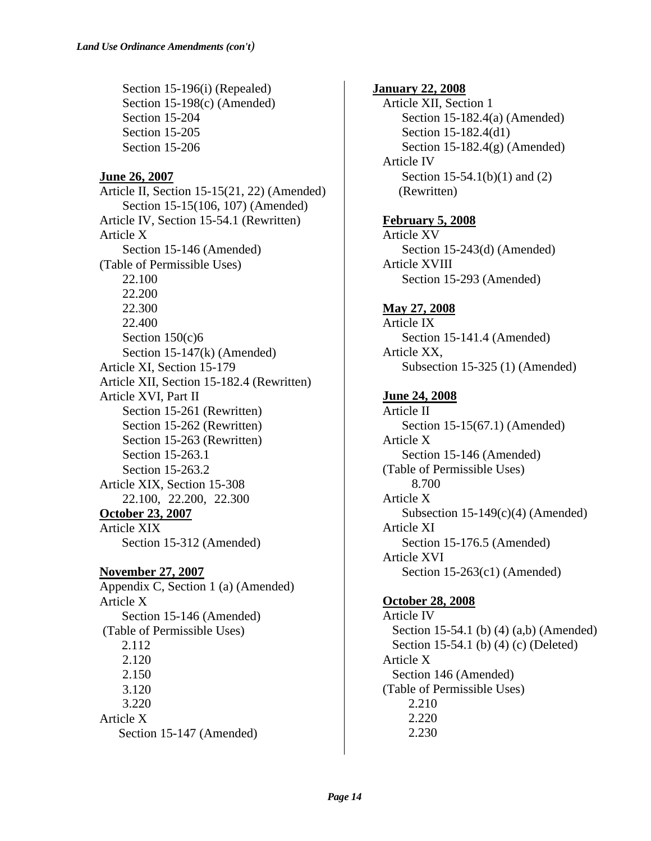Section 15-196(i) (Repealed) Section 15-198(c) (Amended) Section 15-204 Section 15-205 Section 15-206

### **June 26, 2007**

Article II, Section 15-15(21, 22) (Amended) Section 15-15(106, 107) (Amended) Article IV, Section 15-54.1 (Rewritten) Article X Section 15-146 (Amended) (Table of Permissible Uses) 22.100 22.200 22.300 22.400 Section 150(c)6 Section 15-147(k) (Amended) Article XI, Section 15-179 Article XII, Section 15-182.4 (Rewritten) Article XVI, Part II Section 15-261 (Rewritten) Section 15-262 (Rewritten) Section 15-263 (Rewritten) Section 15-263.1 Section 15-263.2 Article XIX, Section 15-308 22.100, 22.200, 22.300 **October 23, 2007** Article XIX Section 15-312 (Amended)

**November 27, 2007**

Appendix C, Section 1 (a) (Amended) Article X Section 15-146 (Amended) (Table of Permissible Uses) 2.112 2.120 2.150 3.120 3.220 Article X Section 15-147 (Amended)

 **January 22, 2008** Article XII, Section 1 Section 15-182.4(a) (Amended) Section 15-182.4(d1) Section 15-182.4(g) (Amended) Article IV Section 15-54.1(b)(1) and (2) (Rewritten) **February 5, 2008** Article XV Section 15-243(d) (Amended) Article XVIII Section 15-293 (Amended) **May 27, 2008** Article IX Section 15-141.4 (Amended) Article XX, Subsection 15-325 (1) (Amended) **June 24, 2008** Article II Section 15-15(67.1) (Amended) Article X Section 15-146 (Amended) (Table of Permissible Uses) 8.700 Article X Subsection  $15-149(c)(4)$  (Amended) Article XI Section 15-176.5 (Amended) Article XVI Section 15-263(c1) (Amended) **October 28, 2008** Article IV Section 15-54.1 (b) (4) (a,b) (Amended) Section 15-54.1 (b) (4) (c) (Deleted) Article X Section 146 (Amended) (Table of Permissible Uses) 2.210 2.220 2.230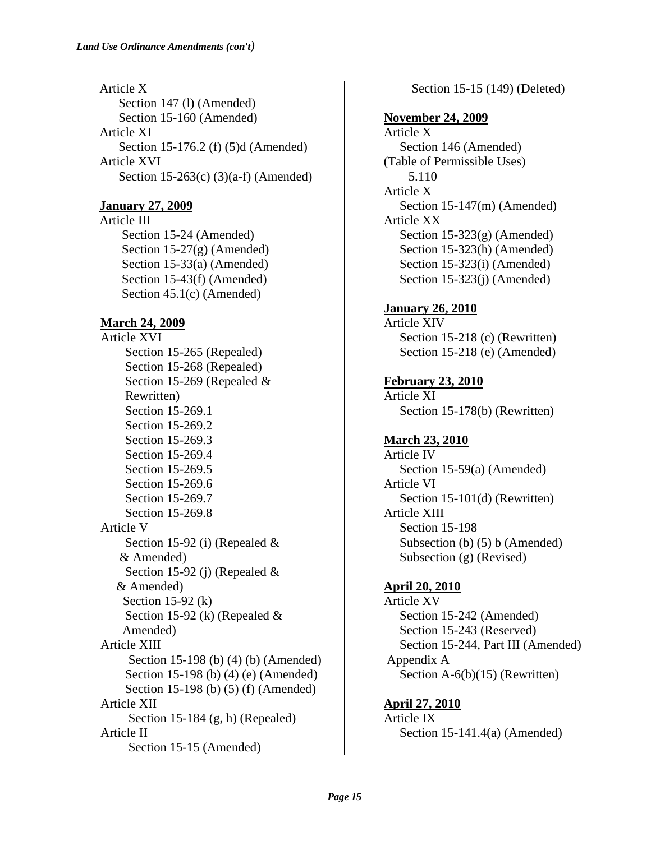Article X Section 147 (l) (Amended) Section 15-160 (Amended) Article XI Section 15-176.2 (f) (5)d (Amended) Article XVI Section 15-263(c) (3)(a-f) (Amended)

### **January 27, 2009**

Article III Section 15-24 (Amended) Section 15-27(g) (Amended) Section 15-33(a) (Amended) Section 15-43(f) (Amended) Section 45.1(c) (Amended)

### **March 24, 2009**

Article XVI Section 15-265 (Repealed) Section 15-268 (Repealed) Section 15-269 (Repealed & Rewritten) Section 15-269.1 Section 15-269.2 Section 15-269.3 Section 15-269.4 Section 15-269.5 Section 15-269.6 Section 15-269.7 Section 15-269.8 Article V Section 15-92 (i) (Repealed & & Amended) Section 15-92 (j) (Repealed & & Amended) Section 15-92 (k) Section 15-92 (k) (Repealed & Amended) Article XIII Section 15-198 (b) (4) (b) (Amended) Section 15-198 (b) (4) (e) (Amended) Section 15-198 (b) (5) (f) (Amended) Article XII Section 15-184 (g, h) (Repealed) Article II Section 15-15 (Amended)

Section 15-15 (149) (Deleted)

### **November 24, 2009**

Article X Section 146 (Amended) (Table of Permissible Uses) 5.110 Article X Section 15-147(m) (Amended) Article XX Section 15-323(g) (Amended) Section 15-323(h) (Amended) Section 15-323(i) (Amended) Section 15-323(j) (Amended)

### **January 26, 2010**

Article XIV Section 15-218 (c) (Rewritten) Section 15-218 (e) (Amended)

**February 23, 2010** Article XI Section 15-178(b) (Rewritten)

### **March 23, 2010**

Article IV Section 15-59(a) (Amended) Article VI Section 15-101(d) (Rewritten) Article XIII Section 15-198 Subsection (b) (5) b (Amended) Subsection (g) (Revised)

### **April 20, 2010**

Article XV Section 15-242 (Amended) Section 15-243 (Reserved) Section 15-244, Part III (Amended) Appendix A Section A-6(b)(15) (Rewritten)

### **April 27, 2010**

Article IX Section 15-141.4(a) (Amended)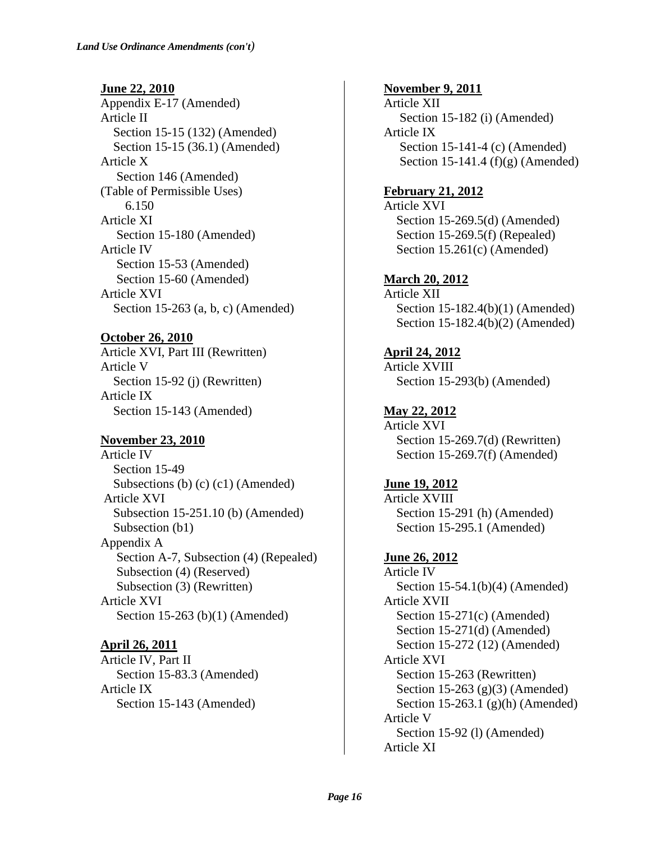**June 22, 2010** Appendix E-17 (Amended) Article II Section 15-15 (132) (Amended) Section 15-15 (36.1) (Amended) Article X Section 146 (Amended) (Table of Permissible Uses) 6.150 Article XI Section 15-180 (Amended) Article IV Section 15-53 (Amended) Section 15-60 (Amended) Article XVI Section 15-263 (a, b, c) (Amended)

**October 26, 2010** Article XVI, Part III (Rewritten) Article V Section 15-92 (j) (Rewritten) Article IX Section 15-143 (Amended)

# **November 23, 2010**

Article IV Section 15-49 Subsections (b) (c) (c1) (Amended) Article XVI Subsection 15-251.10 (b) (Amended) Subsection (b1) Appendix A Section A-7, Subsection (4) (Repealed) Subsection (4) (Reserved) Subsection (3) (Rewritten) Article XVI Section 15-263 (b)(1) (Amended)

**April 26, 2011** Article IV, Part II Section 15-83.3 (Amended) Article IX Section 15-143 (Amended)

**November 9, 2011** Article XII Section 15-182 (i) (Amended) Article IX Section 15-141-4 (c) (Amended) Section 15-141.4 (f)(g) (Amended)

**February 21, 2012** Article XVI Section 15-269.5(d) (Amended) Section 15-269.5(f) (Repealed) Section 15.261(c) (Amended)

**March 20, 2012** Article XII Section 15-182.4(b)(1) (Amended) Section 15-182.4(b)(2) (Amended)

**April 24, 2012** Article XVIII Section 15-293(b) (Amended)

**May 22, 2012** Article XVI Section 15-269.7(d) (Rewritten) Section 15-269.7(f) (Amended)

**June 19, 2012** Article XVIII Section 15-291 (h) (Amended) Section 15-295.1 (Amended)

**June 26, 2012** Article IV Section 15-54.1(b)(4) (Amended) Article XVII Section 15-271(c) (Amended) Section 15-271(d) (Amended) Section 15-272 (12) (Amended) Article XVI Section 15-263 (Rewritten) Section 15-263 (g)(3) (Amended) Section 15-263.1 (g)(h) (Amended) Article V Section 15-92 (l) (Amended) Article XI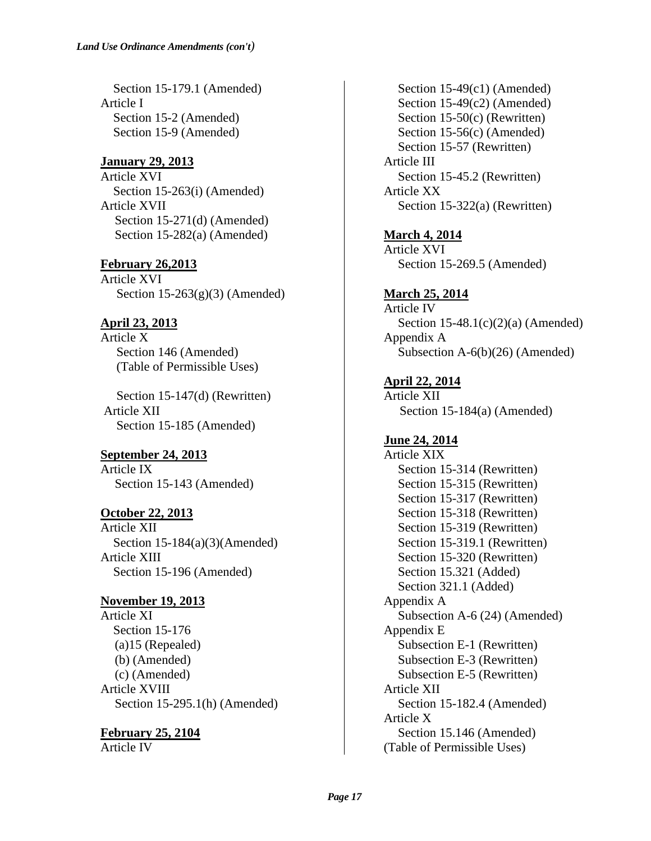Section 15-179.1 (Amended) Article I Section 15-2 (Amended) Section 15-9 (Amended)

### **January 29, 2013**

Article XVI Section 15-263(i) (Amended) Article XVII Section 15-271(d) (Amended) Section 15-282(a) (Amended)

**February 26,2013** Article XVI Section  $15-263(g)(3)$  (Amended)

### **April 23, 2013**

Article X Section 146 (Amended) (Table of Permissible Uses)

 Section 15-147(d) (Rewritten) Article XII Section 15-185 (Amended)

**September 24, 2013** Article IX Section 15-143 (Amended)

### **October 22, 2013**

Article XII Section 15-184(a)(3)(Amended) Article XIII Section 15-196 (Amended)

### **November 19, 2013**

Article XI Section 15-176 (a)15 (Repealed) (b) (Amended) (c) (Amended) Article XVIII Section 15-295.1(h) (Amended)

### **February 25, 2104**

Article IV

Section 15-49(c1) (Amended) Section 15-49(c2) (Amended) Section 15-50(c) (Rewritten) Section 15-56(c) (Amended) Section 15-57 (Rewritten) Article III Section 15-45.2 (Rewritten) Article XX Section 15-322(a) (Rewritten)

**March 4, 2014** Article XVI Section 15-269.5 (Amended)

**March 25, 2014** Article IV Section  $15-48.1(c)(2)(a)$  (Amended) Appendix A Subsection A-6(b)(26) (Amended)

**April 22, 2014** Article XII Section 15-184(a) (Amended)

# **June 24, 2014**

Article XIX Section 15-314 (Rewritten) Section 15-315 (Rewritten) Section 15-317 (Rewritten) Section 15-318 (Rewritten) Section 15-319 (Rewritten) Section 15-319.1 (Rewritten) Section 15-320 (Rewritten) Section 15.321 (Added) Section 321.1 (Added) Appendix A Subsection A-6 (24) (Amended) Appendix E Subsection E-1 (Rewritten) Subsection E-3 (Rewritten) Subsection E-5 (Rewritten) Article XII Section 15-182.4 (Amended) Article X Section 15.146 (Amended) (Table of Permissible Uses)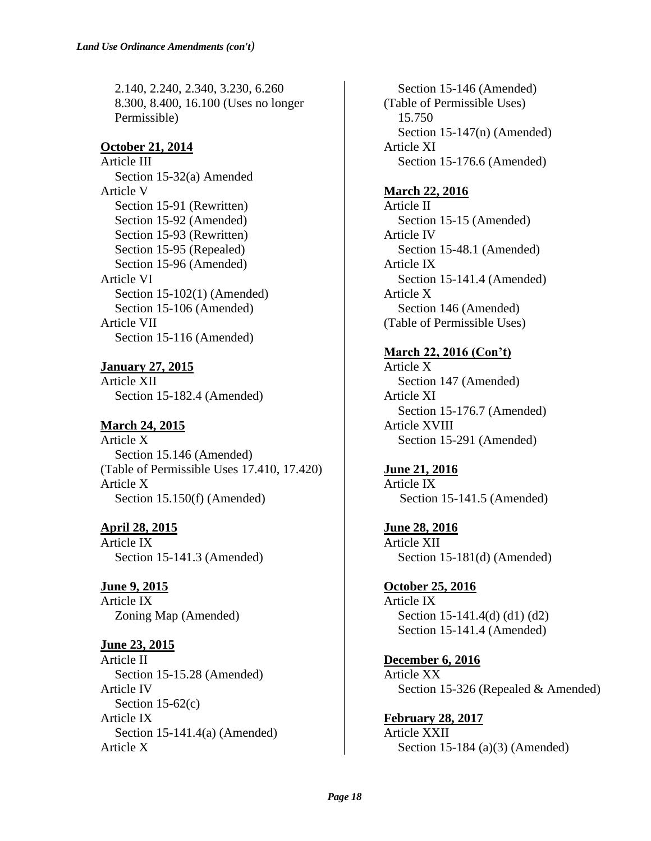2.140, 2.240, 2.340, 3.230, 6.260 8.300, 8.400, 16.100 (Uses no longer Permissible)

### **October 21, 2014**

Article III Section 15-32(a) Amended Article V Section 15-91 (Rewritten) Section 15-92 (Amended) Section 15-93 (Rewritten) Section 15-95 (Repealed) Section 15-96 (Amended) Article VI Section 15-102(1) (Amended) Section 15-106 (Amended) Article VII Section 15-116 (Amended)

**January 27, 2015** Article XII Section 15-182.4 (Amended)

# **March 24, 2015**

Article X Section 15.146 (Amended) (Table of Permissible Uses 17.410, 17.420) Article X Section 15.150(f) (Amended)

**April 28, 2015** Article IX Section 15-141.3 (Amended)

**June 9, 2015** Article IX Zoning Map (Amended)

**June 23, 2015** Article II Section 15-15.28 (Amended) Article IV Section  $15-62(c)$ Article IX Section 15-141.4(a) (Amended) Article X

Section 15-146 (Amended) (Table of Permissible Uses) 15.750 Section 15-147(n) (Amended) Article XI Section 15-176.6 (Amended)

### **March 22, 2016**

Article II Section 15-15 (Amended) Article IV Section 15-48.1 (Amended) Article IX Section 15-141.4 (Amended) Article X Section 146 (Amended) (Table of Permissible Uses)

### **March 22, 2016 (Con't)**

Article X Section 147 (Amended) Article XI Section 15-176.7 (Amended) Article XVIII Section 15-291 (Amended)

**June 21, 2016** Article IX

Section 15-141.5 (Amended)

**June 28, 2016** Article XII Section 15-181(d) (Amended)

**October 25, 2016** Article IX Section 15-141.4(d) (d1) (d2) Section 15-141.4 (Amended)

**December 6, 2016** Article XX Section 15-326 (Repealed & Amended)

**February 28, 2017** Article XXII Section 15-184 (a)(3) (Amended)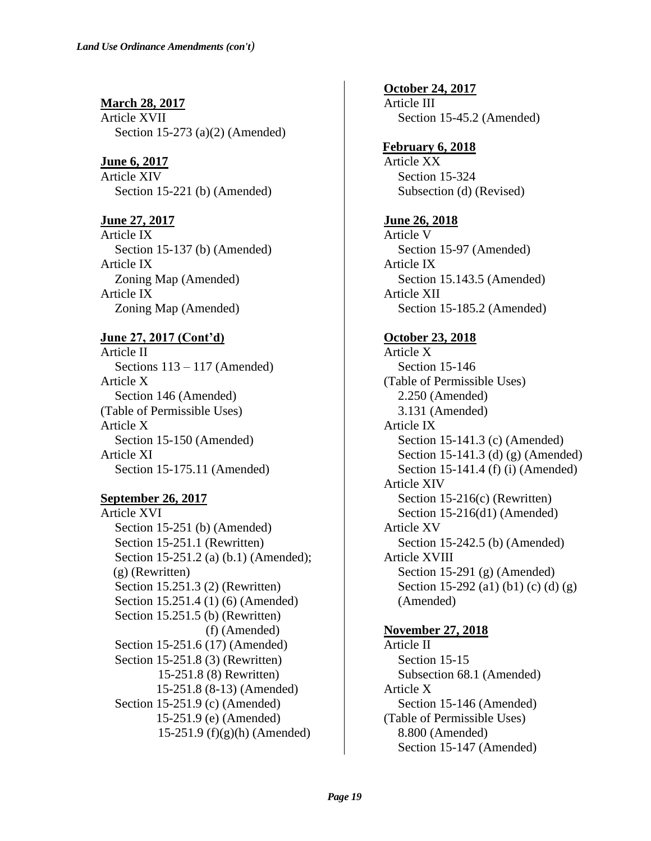**March 28, 2017** Article XVII Section 15-273 (a)(2) (Amended)

**June 6, 2017** Article XIV Section 15-221 (b) (Amended)

**June 27, 2017** Article IX Section 15-137 (b) (Amended) Article IX Zoning Map (Amended) Article IX Zoning Map (Amended)

# **June 27, 2017 (Cont'd)**

Article II Sections 113 – 117 (Amended) Article X Section 146 (Amended) (Table of Permissible Uses) Article X Section 15-150 (Amended) Article XI Section 15-175.11 (Amended)

#### **September 26, 2017**

Article XVI Section 15-251 (b) (Amended) Section 15-251.1 (Rewritten) Section 15-251.2 (a) (b.1) (Amended); (g) (Rewritten) Section 15.251.3 (2) (Rewritten) Section 15.251.4 (1) (6) (Amended) Section 15.251.5 (b) (Rewritten) (f) (Amended) Section 15-251.6 (17) (Amended) Section 15-251.8 (3) (Rewritten) 15-251.8 (8) Rewritten) 15-251.8 (8-13) (Amended) Section 15-251.9 (c) (Amended) 15-251.9 (e) (Amended) 15-251.9 (f)(g)(h) (Amended)

**October 24, 2017** Article III Section 15-45.2 (Amended)

**February 6, 2018** Article XX Section 15-324 Subsection (d) (Revised)

### **June 26, 2018**

Article V Section 15-97 (Amended) Article IX Section 15.143.5 (Amended) Article XII Section 15-185.2 (Amended)

#### **October 23, 2018**

Article X Section 15-146 (Table of Permissible Uses) 2.250 (Amended) 3.131 (Amended) Article IX Section 15-141.3 (c) (Amended) Section 15-141.3 (d) (g) (Amended) Section 15-141.4 (f) (i) (Amended) Article XIV Section 15-216(c) (Rewritten) Section 15-216(d1) (Amended) Article XV Section 15-242.5 (b) (Amended) Article XVIII Section 15-291 (g) (Amended) Section 15-292 (a1) (b1) (c) (d) (g) (Amended)

### **November 27, 2018**

Article II Section 15-15 Subsection 68.1 (Amended) Article X Section 15-146 (Amended) (Table of Permissible Uses) 8.800 (Amended) Section 15-147 (Amended)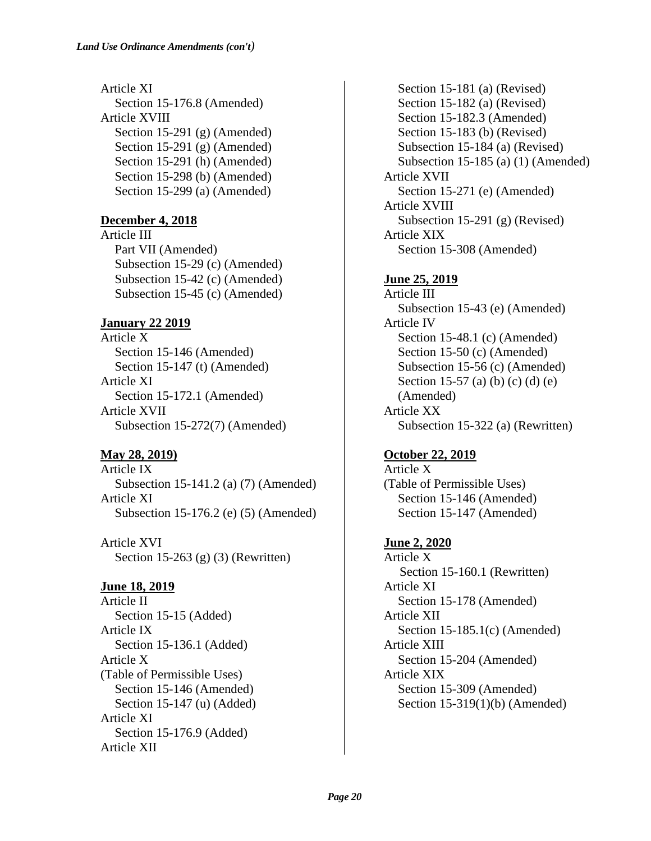Article XI Section 15-176.8 (Amended) Article XVIII Section 15-291 (g) (Amended) Section 15-291 (g) (Amended) Section 15-291 (h) (Amended) Section 15-298 (b) (Amended) Section 15-299 (a) (Amended)

# **December 4, 2018**

Article III Part VII (Amended) Subsection 15-29 (c) (Amended) Subsection 15-42 (c) (Amended) Subsection 15-45 (c) (Amended)

# **January 22 2019**

Article X Section 15-146 (Amended) Section 15-147 (t) (Amended) Article XI Section 15-172.1 (Amended) Article XVII Subsection 15-272(7) (Amended)

# **May 28, 2019)**

Article IX Subsection 15-141.2 (a) (7) (Amended) Article XI Subsection 15-176.2 (e) (5) (Amended)

Article XVI Section 15-263 (g) (3) (Rewritten)

# **June 18, 2019**

Article II Section 15-15 (Added) Article IX Section 15-136.1 (Added) Article X (Table of Permissible Uses) Section 15-146 (Amended) Section 15-147 (u) (Added) Article XI Section 15-176.9 (Added) Article XII

Section 15-181 (a) (Revised) Section 15-182 (a) (Revised) Section 15-182.3 (Amended) Section 15-183 (b) (Revised) Subsection 15-184 (a) (Revised) Subsection 15-185 (a) (1) (Amended) Article XVII Section 15-271 (e) (Amended) Article XVIII Subsection 15-291 (g) (Revised) Article XIX Section 15-308 (Amended)

# **June 25, 2019**

Article III Subsection 15-43 (e) (Amended) Article IV Section 15-48.1 (c) (Amended) Section 15-50 (c) (Amended) Subsection 15-56 (c) (Amended) Section 15-57 (a) (b) (c) (d) (e) (Amended) Article XX Subsection 15-322 (a) (Rewritten)

# **October 22, 2019**

Article X (Table of Permissible Uses) Section 15-146 (Amended) Section 15-147 (Amended)

# **June 2, 2020**

Article X Section 15-160.1 (Rewritten) Article XI Section 15-178 (Amended) Article XII Section 15-185.1(c) (Amended) Article XIII Section 15-204 (Amended) Article XIX Section 15-309 (Amended) Section 15-319(1)(b) (Amended)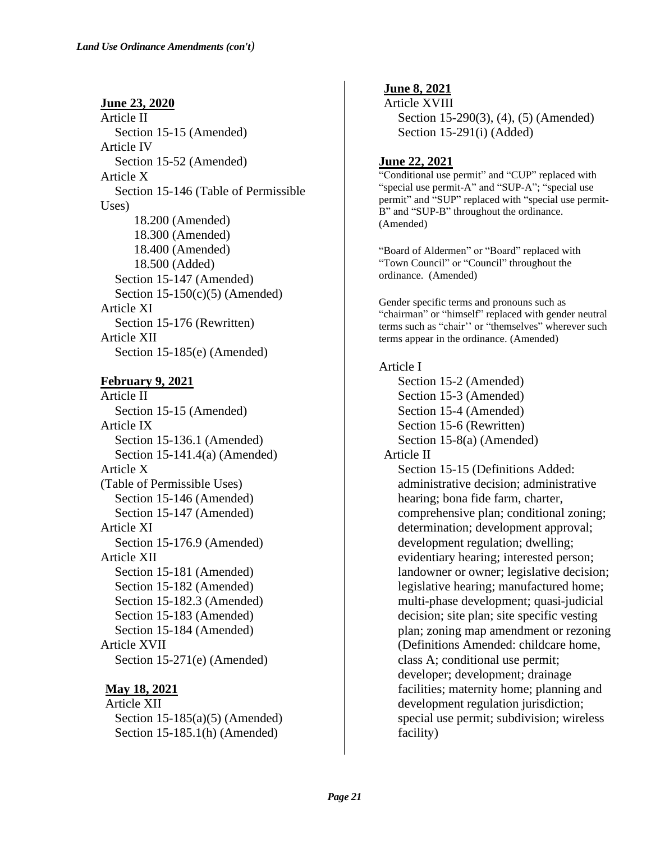**June 23, 2020** Article II Section 15-15 (Amended) Article IV Section 15-52 (Amended) Article X Section 15-146 (Table of Permissible Uses) 18.200 (Amended) 18.300 (Amended) 18.400 (Amended) 18.500 (Added) Section 15-147 (Amended) Section  $15-150(c)(5)$  (Amended) Article XI Section 15-176 (Rewritten) Article XII Section 15-185(e) (Amended)

#### **February 9, 2021**

Article II Section 15-15 (Amended) Article IX Section 15-136.1 (Amended) Section 15-141.4(a) (Amended) Article X (Table of Permissible Uses) Section 15-146 (Amended) Section 15-147 (Amended) Article XI Section 15-176.9 (Amended) Article XII Section 15-181 (Amended) Section 15-182 (Amended) Section 15-182.3 (Amended) Section 15-183 (Amended) Section 15-184 (Amended) Article XVII Section 15-271(e) (Amended)

#### **May 18, 2021**

Article XII Section 15-185(a)(5) (Amended) Section 15-185.1(h) (Amended)

**June 8, 2021** Article XVIII Section 15-290(3), (4), (5) (Amended) Section 15-291(i) (Added)

### **June 22, 2021**

"Conditional use permit" and "CUP" replaced with "special use permit-A" and "SUP-A"; "special use permit" and "SUP" replaced with "special use permit-B" and "SUP-B" throughout the ordinance. (Amended)

"Board of Aldermen" or "Board" replaced with "Town Council" or "Council" throughout the ordinance. (Amended)

Gender specific terms and pronouns such as "chairman" or "himself" replaced with gender neutral terms such as "chair'' or "themselves" wherever such terms appear in the ordinance. (Amended)

#### Article I

Section 15-2 (Amended) Section 15-3 (Amended) Section 15-4 (Amended) Section 15-6 (Rewritten) Section 15-8(a) (Amended) Article II

Section 15-15 (Definitions Added: administrative decision; administrative hearing; bona fide farm, charter, comprehensive plan; conditional zoning; determination; development approval; development regulation; dwelling; evidentiary hearing; interested person; landowner or owner; legislative decision; legislative hearing; manufactured home; multi-phase development; quasi-judicial decision; site plan; site specific vesting plan; zoning map amendment or rezoning (Definitions Amended: childcare home, class A; conditional use permit; developer; development; drainage facilities; maternity home; planning and development regulation jurisdiction; special use permit; subdivision; wireless facility)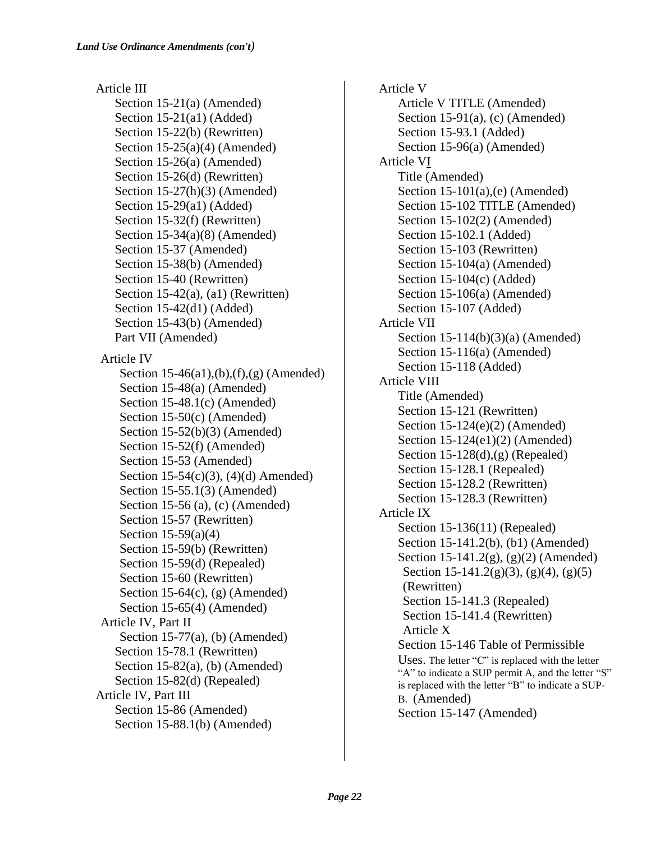Article III Section 15-21(a) (Amended) Section 15-21(a1) (Added) Section 15-22(b) (Rewritten) Section  $15-25(a)(4)$  (Amended) Section 15-26(a) (Amended) Section 15-26(d) (Rewritten) Section 15-27(h)(3) (Amended) Section 15-29(a1) (Added) Section 15-32(f) (Rewritten) Section 15-34(a)(8) (Amended) Section 15-37 (Amended) Section 15-38(b) (Amended) Section 15-40 (Rewritten) Section  $15-42(a)$ ,  $(a1)$  (Rewritten) Section 15-42(d1) (Added) Section 15-43(b) (Amended) Part VII (Amended) Article IV Section 15-46(a1),(b),(f),(g) (Amended) Section 15-48(a) (Amended) Section 15-48.1(c) (Amended) Section 15-50(c) (Amended) Section 15-52(b)(3) (Amended) Section 15-52(f) (Amended) Section 15-53 (Amended) Section 15-54(c)(3), (4)(d) Amended) Section 15-55.1(3) (Amended) Section 15-56 (a), (c) (Amended) Section 15-57 (Rewritten) Section 15-59(a)(4) Section 15-59(b) (Rewritten) Section 15-59(d) (Repealed) Section 15-60 (Rewritten) Section 15-64 $(c)$ ,  $(g)$  (Amended) Section 15-65(4) (Amended) Article IV, Part II Section  $15-77(a)$ , (b) (Amended) Section 15-78.1 (Rewritten) Section 15-82(a), (b) (Amended) Section 15-82(d) (Repealed) Article IV, Part III Section 15-86 (Amended) Section 15-88.1(b) (Amended)

Article V Article V TITLE (Amended) Section 15-91(a), (c) (Amended) Section 15-93.1 (Added) Section 15-96(a) (Amended) Article VI Title (Amended) Section 15-101(a),(e) (Amended) Section 15-102 TITLE (Amended) Section 15-102(2) (Amended) Section 15-102.1 (Added) Section 15-103 (Rewritten) Section 15-104(a) (Amended) Section 15-104(c) (Added) Section 15-106(a) (Amended) Section 15-107 (Added) Article VII Section 15-114(b)(3)(a) (Amended) Section 15-116(a) (Amended) Section 15-118 (Added) Article VIII Title (Amended) Section 15-121 (Rewritten) Section 15-124(e)(2) (Amended) Section 15-124(e1)(2) (Amended) Section 15-128(d),(g) (Repealed) Section 15-128.1 (Repealed) Section 15-128.2 (Rewritten) Section 15-128.3 (Rewritten) Article IX Section 15-136(11) (Repealed) Section 15-141.2(b), (b1) (Amended) Section 15-141.2(g), (g)(2) (Amended) Section 15-141.2(g)(3), (g)(4), (g)(5) (Rewritten) Section 15-141.3 (Repealed) Section 15-141.4 (Rewritten) Article X Section 15-146 Table of Permissible Uses. The letter "C" is replaced with the letter "A" to indicate a SUP permit A, and the letter "S" is replaced with the letter "B" to indicate a SUP-B. (Amended) Section 15-147 (Amended)